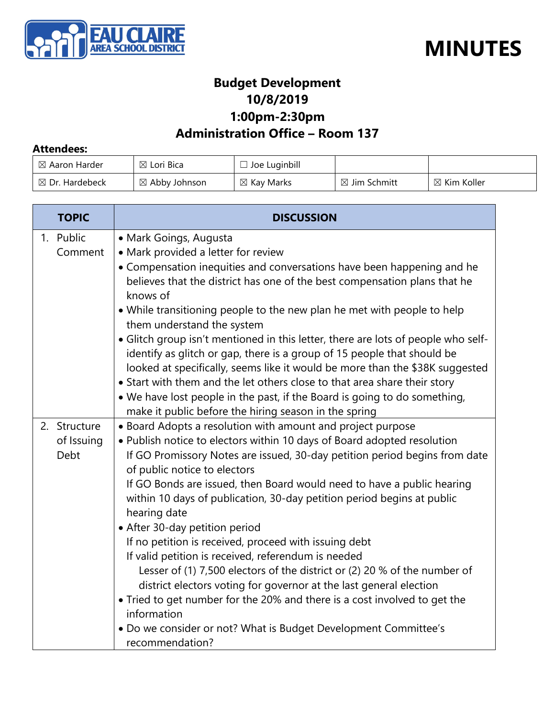



#### **Budget Development 10/8/2019 1:00pm-2:30pm**

#### **Administration Office – Room 137**

#### **Attendees:**

| $\boxtimes$ Aaron Harder  | $\boxtimes$ Lori Bica    | Joe Luginbill         |                         |                        |
|---------------------------|--------------------------|-----------------------|-------------------------|------------------------|
| $\boxtimes$ Dr. Hardebeck | $\boxtimes$ Abby Johnson | $\boxtimes$ Kay Marks | $\boxtimes$ Jim Schmitt | $\boxtimes$ Kim Koller |

| <b>TOPIC</b>                       | <b>DISCUSSION</b>                                                                                                                                                                                                                                                                                                                                                                                                                                                                                                                                                                                                                                                                                                                                                                                                                                                                                               |  |
|------------------------------------|-----------------------------------------------------------------------------------------------------------------------------------------------------------------------------------------------------------------------------------------------------------------------------------------------------------------------------------------------------------------------------------------------------------------------------------------------------------------------------------------------------------------------------------------------------------------------------------------------------------------------------------------------------------------------------------------------------------------------------------------------------------------------------------------------------------------------------------------------------------------------------------------------------------------|--|
| 1. Public<br>Comment               | • Mark Goings, Augusta<br>• Mark provided a letter for review<br>• Compensation inequities and conversations have been happening and he<br>believes that the district has one of the best compensation plans that he<br>knows of<br>• While transitioning people to the new plan he met with people to help<br>them understand the system<br>• Glitch group isn't mentioned in this letter, there are lots of people who self-<br>identify as glitch or gap, there is a group of 15 people that should be<br>looked at specifically, seems like it would be more than the \$38K suggested<br>• Start with them and the let others close to that area share their story<br>• We have lost people in the past, if the Board is going to do something,<br>make it public before the hiring season in the spring                                                                                                    |  |
| 2. Structure<br>of Issuing<br>Debt | • Board Adopts a resolution with amount and project purpose<br>. Publish notice to electors within 10 days of Board adopted resolution<br>If GO Promissory Notes are issued, 30-day petition period begins from date<br>of public notice to electors<br>If GO Bonds are issued, then Board would need to have a public hearing<br>within 10 days of publication, 30-day petition period begins at public<br>hearing date<br>• After 30-day petition period<br>If no petition is received, proceed with issuing debt<br>If valid petition is received, referendum is needed<br>Lesser of (1) 7,500 electors of the district or (2) 20 % of the number of<br>district electors voting for governor at the last general election<br>• Tried to get number for the 20% and there is a cost involved to get the<br>information<br>. Do we consider or not? What is Budget Development Committee's<br>recommendation? |  |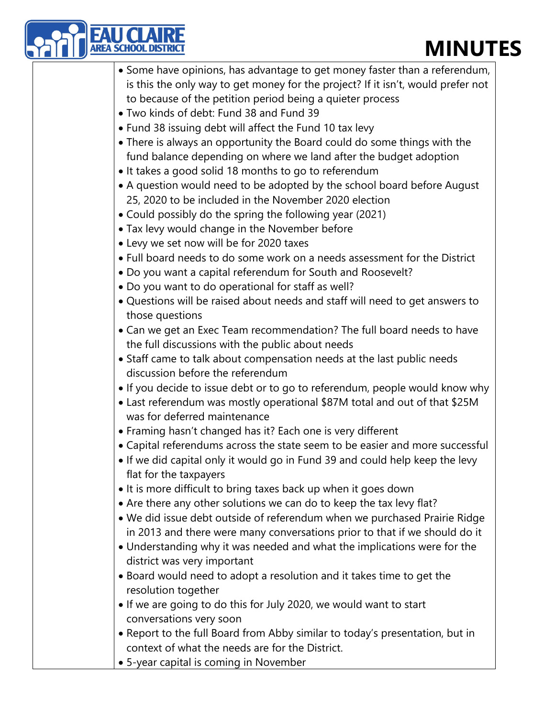| <b>MINUT</b><br>EA SCHOOL                                                                                                                              |
|--------------------------------------------------------------------------------------------------------------------------------------------------------|
| • Some have opinions, has advantage to get money faster than a referendum,                                                                             |
| is this the only way to get money for the project? If it isn't, would prefer not                                                                       |
| to because of the petition period being a quieter process                                                                                              |
| • Two kinds of debt: Fund 38 and Fund 39                                                                                                               |
| • Fund 38 issuing debt will affect the Fund 10 tax levy                                                                                                |
| • There is always an opportunity the Board could do some things with the                                                                               |
| fund balance depending on where we land after the budget adoption                                                                                      |
| • It takes a good solid 18 months to go to referendum                                                                                                  |
| • A question would need to be adopted by the school board before August                                                                                |
| 25, 2020 to be included in the November 2020 election                                                                                                  |
| • Could possibly do the spring the following year (2021)                                                                                               |
| • Tax levy would change in the November before                                                                                                         |
| • Levy we set now will be for 2020 taxes                                                                                                               |
| • Full board needs to do some work on a needs assessment for the District                                                                              |
| . Do you want a capital referendum for South and Roosevelt?                                                                                            |
| . Do you want to do operational for staff as well?                                                                                                     |
| • Questions will be raised about needs and staff will need to get answers to                                                                           |
| those questions                                                                                                                                        |
| • Can we get an Exec Team recommendation? The full board needs to have                                                                                 |
| the full discussions with the public about needs                                                                                                       |
| • Staff came to talk about compensation needs at the last public needs                                                                                 |
| discussion before the referendum                                                                                                                       |
| • If you decide to issue debt or to go to referendum, people would know why                                                                            |
| • Last referendum was mostly operational \$87M total and out of that \$25M                                                                             |
| was for deferred maintenance                                                                                                                           |
| • Framing hasn't changed has it? Each one is very different                                                                                            |
| • Capital referendums across the state seem to be easier and more successful                                                                           |
| • If we did capital only it would go in Fund 39 and could help keep the levy                                                                           |
| flat for the taxpayers                                                                                                                                 |
| • It is more difficult to bring taxes back up when it goes down                                                                                        |
| • Are there any other solutions we can do to keep the tax levy flat?                                                                                   |
| . We did issue debt outside of referendum when we purchased Prairie Ridge                                                                              |
| in 2013 and there were many conversations prior to that if we should do it<br>. Understanding why it was needed and what the implications were for the |
| district was very important                                                                                                                            |
| • Board would need to adopt a resolution and it takes time to get the                                                                                  |
| resolution together                                                                                                                                    |
| . If we are going to do this for July 2020, we would want to start                                                                                     |
| conversations very soon                                                                                                                                |
| • Report to the full Board from Abby similar to today's presentation, but in                                                                           |
| context of what the needs are for the District.                                                                                                        |
| • 5-year capital is coming in November                                                                                                                 |
|                                                                                                                                                        |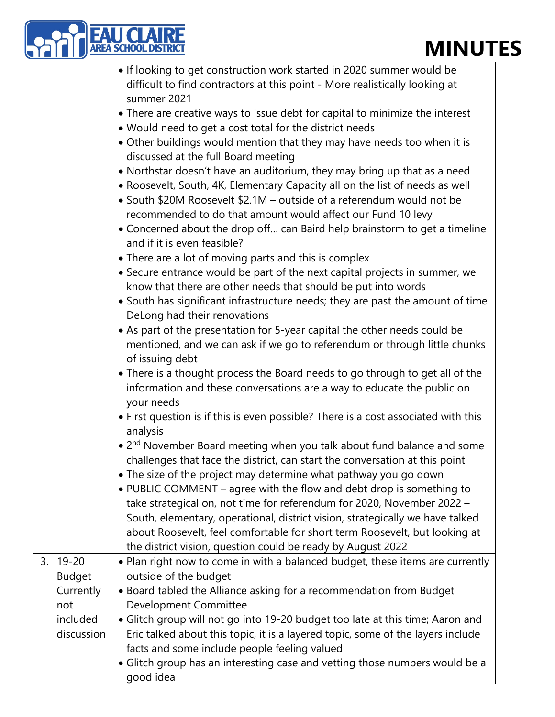|                              | <b>AREA SCHOOL DISTRIC</b><br><b>MINUT</b>                                                                                                                                                                                                                                                           |
|------------------------------|------------------------------------------------------------------------------------------------------------------------------------------------------------------------------------------------------------------------------------------------------------------------------------------------------|
|                              | • If looking to get construction work started in 2020 summer would be                                                                                                                                                                                                                                |
|                              | difficult to find contractors at this point - More realistically looking at<br>summer 2021                                                                                                                                                                                                           |
|                              | • There are creative ways to issue debt for capital to minimize the interest                                                                                                                                                                                                                         |
|                              | . Would need to get a cost total for the district needs                                                                                                                                                                                                                                              |
|                              | • Other buildings would mention that they may have needs too when it is<br>discussed at the full Board meeting                                                                                                                                                                                       |
|                              | • Northstar doesn't have an auditorium, they may bring up that as a need<br>. Roosevelt, South, 4K, Elementary Capacity all on the list of needs as well<br>• South \$20M Roosevelt \$2.1M - outside of a referendum would not be<br>recommended to do that amount would affect our Fund 10 levy     |
|                              | • Concerned about the drop off can Baird help brainstorm to get a timeline<br>and if it is even feasible?                                                                                                                                                                                            |
|                              | • There are a lot of moving parts and this is complex                                                                                                                                                                                                                                                |
|                              | • Secure entrance would be part of the next capital projects in summer, we<br>know that there are other needs that should be put into words                                                                                                                                                          |
|                              | • South has significant infrastructure needs; they are past the amount of time<br>DeLong had their renovations                                                                                                                                                                                       |
|                              | • As part of the presentation for 5-year capital the other needs could be<br>mentioned, and we can ask if we go to referendum or through little chunks<br>of issuing debt                                                                                                                            |
|                              | • There is a thought process the Board needs to go through to get all of the<br>information and these conversations are a way to educate the public on<br>your needs                                                                                                                                 |
|                              | • First question is if this is even possible? There is a cost associated with this<br>analysis                                                                                                                                                                                                       |
|                              | • 2 <sup>nd</sup> November Board meeting when you talk about fund balance and some<br>challenges that face the district, can start the conversation at this point                                                                                                                                    |
|                              | • The size of the project may determine what pathway you go down<br>• PUBLIC COMMENT – agree with the flow and debt drop is something to                                                                                                                                                             |
|                              | take strategical on, not time for referendum for 2020, November 2022 -<br>South, elementary, operational, district vision, strategically we have talked<br>about Roosevelt, feel comfortable for short term Roosevelt, but looking at<br>the district vision, question could be ready by August 2022 |
| $3.19 - 20$<br><b>Budget</b> | • Plan right now to come in with a balanced budget, these items are currently<br>outside of the budget                                                                                                                                                                                               |
| Currently<br>not             | • Board tabled the Alliance asking for a recommendation from Budget<br>Development Committee                                                                                                                                                                                                         |
| included<br>discussion       | • Glitch group will not go into 19-20 budget too late at this time; Aaron and<br>Eric talked about this topic, it is a layered topic, some of the layers include<br>facts and some include people feeling valued                                                                                     |
|                              | • Glitch group has an interesting case and vetting those numbers would be a<br>good idea                                                                                                                                                                                                             |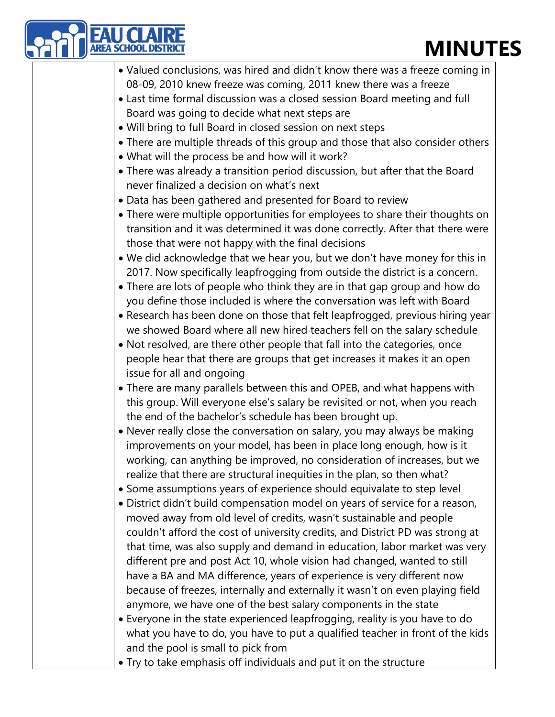| <b>REA SCHOOL DISTRIC</b><br><b>MINUT</b>                                                                                                                                                                           |
|---------------------------------------------------------------------------------------------------------------------------------------------------------------------------------------------------------------------|
| • Valued conclusions, was hired and didn't know there was a freeze coming in                                                                                                                                        |
| 08-09, 2010 knew freeze was coming, 2011 knew there was a freeze                                                                                                                                                    |
| • Last time formal discussion was a closed session Board meeting and full                                                                                                                                           |
| Board was going to decide what next steps are                                                                                                                                                                       |
| . Will bring to full Board in closed session on next steps                                                                                                                                                          |
| • There are multiple threads of this group and those that also consider others                                                                                                                                      |
| • What will the process be and how will it work?                                                                                                                                                                    |
| • There was already a transition period discussion, but after that the Board<br>never finalized a decision on what's next                                                                                           |
| • Data has been gathered and presented for Board to review                                                                                                                                                          |
| • There were multiple opportunities for employees to share their thoughts on<br>transition and it was determined it was done correctly. After that there were<br>those that were not happy with the final decisions |
| . We did acknowledge that we hear you, but we don't have money for this in                                                                                                                                          |
| 2017. Now specifically leapfrogging from outside the district is a concern.                                                                                                                                         |
| • There are lots of people who think they are in that gap group and how do                                                                                                                                          |
| you define those included is where the conversation was left with Board                                                                                                                                             |
| • Research has been done on those that felt leapfrogged, previous hiring year                                                                                                                                       |
| we showed Board where all new hired teachers fell on the salary schedule                                                                                                                                            |
| . Not resolved, are there other people that fall into the categories, once                                                                                                                                          |
| people hear that there are groups that get increases it makes it an open<br>issue for all and ongoing                                                                                                               |
| • There are many parallels between this and OPEB, and what happens with                                                                                                                                             |
| this group. Will everyone else's salary be revisited or not, when you reach                                                                                                                                         |
| the end of the bachelor's schedule has been brought up.                                                                                                                                                             |
| • Never really close the conversation on salary, you may always be making                                                                                                                                           |
| improvements on your model, has been in place long enough, how is it<br>working, can anything be improved, no consideration of increases, but we                                                                    |
| realize that there are structural inequities in the plan, so then what?                                                                                                                                             |
| • Some assumptions years of experience should equivalate to step level                                                                                                                                              |
| • District didn't build compensation model on years of service for a reason,                                                                                                                                        |
| moved away from old level of credits, wasn't sustainable and people                                                                                                                                                 |
| couldn't afford the cost of university credits, and District PD was strong at                                                                                                                                       |
| that time, was also supply and demand in education, labor market was very                                                                                                                                           |
| different pre and post Act 10, whole vision had changed, wanted to still                                                                                                                                            |
| have a BA and MA difference, years of experience is very different now                                                                                                                                              |
| because of freezes, internally and externally it wasn't on even playing field                                                                                                                                       |
| anymore, we have one of the best salary components in the state                                                                                                                                                     |
| • Everyone in the state experienced leapfrogging, reality is you have to do                                                                                                                                         |
| what you have to do, you have to put a qualified teacher in front of the kids                                                                                                                                       |
| and the pool is small to pick from                                                                                                                                                                                  |
| • Try to take emphasis off individuals and put it on the structure                                                                                                                                                  |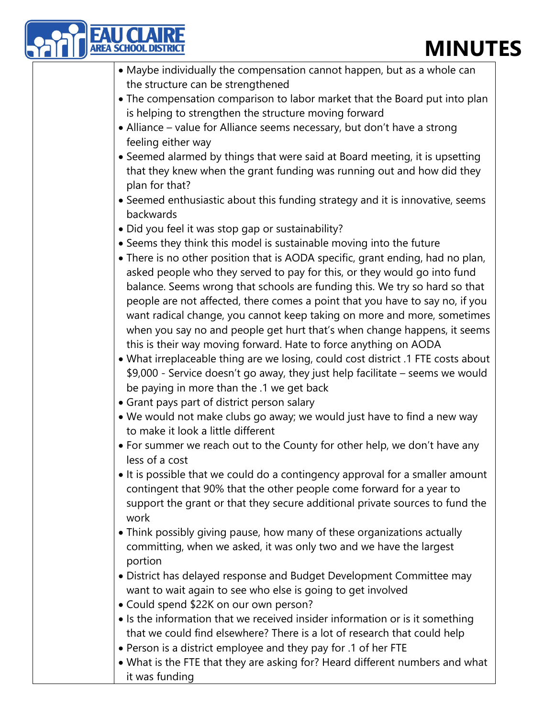|  | <b>MINUT</b>                                                                                                  |
|--|---------------------------------------------------------------------------------------------------------------|
|  | • Maybe individually the compensation cannot happen, but as a whole can                                       |
|  | the structure can be strengthened                                                                             |
|  | • The compensation comparison to labor market that the Board put into plan                                    |
|  | is helping to strengthen the structure moving forward                                                         |
|  | • Alliance – value for Alliance seems necessary, but don't have a strong                                      |
|  | feeling either way                                                                                            |
|  | • Seemed alarmed by things that were said at Board meeting, it is upsetting                                   |
|  | that they knew when the grant funding was running out and how did they<br>plan for that?                      |
|  | • Seemed enthusiastic about this funding strategy and it is innovative, seems<br>backwards                    |
|  | · Did you feel it was stop gap or sustainability?                                                             |
|  | • Seems they think this model is sustainable moving into the future                                           |
|  | • There is no other position that is AODA specific, grant ending, had no plan,                                |
|  | asked people who they served to pay for this, or they would go into fund                                      |
|  | balance. Seems wrong that schools are funding this. We try so hard so that                                    |
|  | people are not affected, there comes a point that you have to say no, if you                                  |
|  | want radical change, you cannot keep taking on more and more, sometimes                                       |
|  | when you say no and people get hurt that's when change happens, it seems                                      |
|  | this is their way moving forward. Hate to force anything on AODA                                              |
|  | . What irreplaceable thing are we losing, could cost district .1 FTE costs about                              |
|  | \$9,000 - Service doesn't go away, they just help facilitate – seems we would                                 |
|  | be paying in more than the .1 we get back                                                                     |
|  | • Grant pays part of district person salary                                                                   |
|  | . We would not make clubs go away; we would just have to find a new way<br>to make it look a little different |
|  | • For summer we reach out to the County for other help, we don't have any                                     |
|  | less of a cost                                                                                                |
|  | • It is possible that we could do a contingency approval for a smaller amount                                 |
|  | contingent that 90% that the other people come forward for a year to                                          |
|  | support the grant or that they secure additional private sources to fund the                                  |
|  | work                                                                                                          |
|  | • Think possibly giving pause, how many of these organizations actually                                       |
|  | committing, when we asked, it was only two and we have the largest                                            |
|  | portion                                                                                                       |
|  | • District has delayed response and Budget Development Committee may                                          |
|  | want to wait again to see who else is going to get involved<br>• Could spend \$22K on our own person?         |
|  | • Is the information that we received insider information or is it something                                  |
|  | that we could find elsewhere? There is a lot of research that could help                                      |
|  | • Person is a district employee and they pay for .1 of her FTE                                                |
|  | . What is the FTE that they are asking for? Heard different numbers and what                                  |
|  | it was funding                                                                                                |